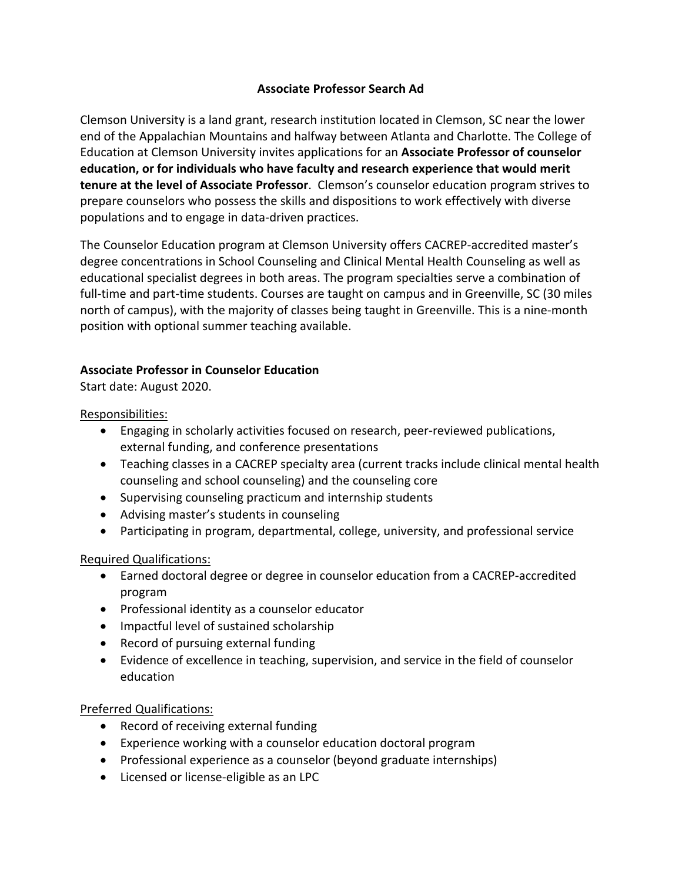## **Associate Professor Search Ad**

Clemson University is a land grant, research institution located in Clemson, SC near the lower end of the Appalachian Mountains and halfway between Atlanta and Charlotte. The College of Education at Clemson University invites applications for an Associate Professor of counselor education, or for individuals who have faculty and research experience that would merit **tenure at the level of Associate Professor**. Clemson's counselor education program strives to prepare counselors who possess the skills and dispositions to work effectively with diverse populations and to engage in data-driven practices.

The Counselor Education program at Clemson University offers CACREP-accredited master's degree concentrations in School Counseling and Clinical Mental Health Counseling as well as educational specialist degrees in both areas. The program specialties serve a combination of full-time and part-time students. Courses are taught on campus and in Greenville, SC (30 miles north of campus), with the majority of classes being taught in Greenville. This is a nine-month position with optional summer teaching available.

## **Associate Professor in Counselor Education**

Start date: August 2020.

Responsibilities:

- Engaging in scholarly activities focused on research, peer-reviewed publications, external funding, and conference presentations
- Teaching classes in a CACREP specialty area (current tracks include clinical mental health counseling and school counseling) and the counseling core
- Supervising counseling practicum and internship students
- Advising master's students in counseling
- Participating in program, departmental, college, university, and professional service

## Required Qualifications:

- Earned doctoral degree or degree in counselor education from a CACREP-accredited program
- Professional identity as a counselor educator
- Impactful level of sustained scholarship
- Record of pursuing external funding
- Evidence of excellence in teaching, supervision, and service in the field of counselor education

## Preferred Qualifications:

- Record of receiving external funding
- Experience working with a counselor education doctoral program
- Professional experience as a counselor (beyond graduate internships)
- Licensed or license-eligible as an LPC